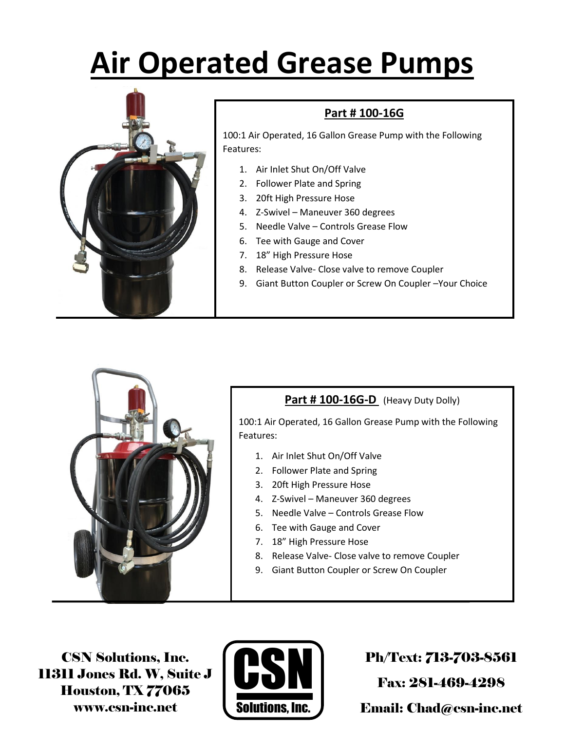# **Air Operated Grease Pumps**



### **Part # 100-16G**

100:1 Air Operated, 16 Gallon Grease Pump with the Following Features:

- 1. Air Inlet Shut On/Off Valve
- 2. Follower Plate and Spring
- 3. 20ft High Pressure Hose
- 4. Z-Swivel Maneuver 360 degrees
- 5. Needle Valve Controls Grease Flow
- 6. Tee with Gauge and Cover
- 7. 18" High Pressure Hose
- 8. Release Valve- Close valve to remove Coupler
- 9. Giant Button Coupler or Screw On Coupler –Your Choice



### Part # 100-16G-D (Heavy Duty Dolly)

100:1 Air Operated, 16 Gallon Grease Pump with the Following Features:

- 1. Air Inlet Shut On/Off Valve
- 2. Follower Plate and Spring
- 3. 20ft High Pressure Hose
- 4. Z-Swivel Maneuver 360 degrees
- 5. Needle Valve Controls Grease Flow
- 6. Tee with Gauge and Cover
- 7. 18" High Pressure Hose
- 8. Release Valve- Close valve to remove Coupler
- 9. Giant Button Coupler or Screw On Coupler

CSN Solutions, Inc. 11311 Jones Rd. W, Suite J Houston, TX 77065 www.csn-inc.net



Ph/Text: 713-703-8561

Fax: 281-469-4298

Email: Chad@csn-inc.net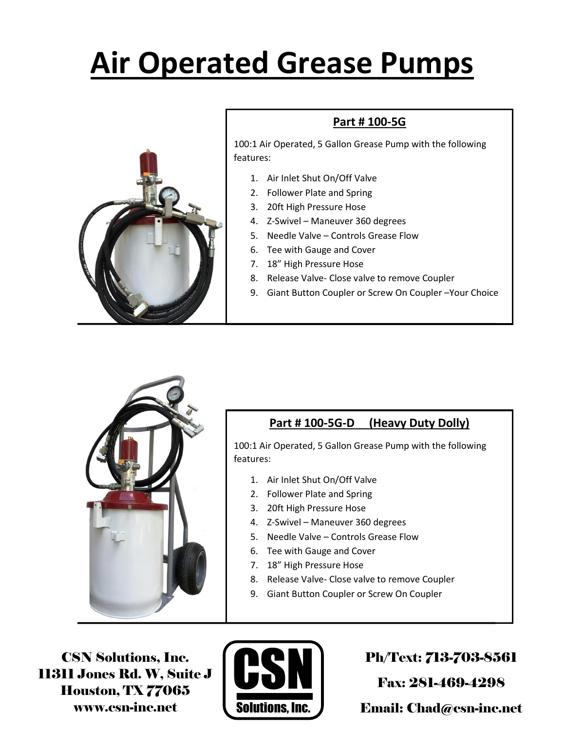# **Air Operated Grease Pumps**



### **Part # 100-5G**

100:1 Air Operated, 5 Gallon Grease Pump with the following features:

- 1. Air Inlet Shut On/Off Valve
- 2. Follower Plate and Spring
- 3. 20ft High Pressure Hose
- 4. Z-Swivel Maneuver 360 degrees
- 5. Needle Valve Controls Grease Flow
- 6. Tee with Gauge and Cover
- 7. 18" High Pressure Hose
- 8. Release Valve- Close valve to remove Coupler
- 9. Giant Button Coupler or Screw On Coupler –Your Choice



### **Part # 100-5G-D (Heavy Duty Dolly)**

100:1 Air Operated, 5 Gallon Grease Pump with the following features:

- 1. Air Inlet Shut On/Off Valve
- 2. Follower Plate and Spring
- 3. 20ft High Pressure Hose
- 4. Z-Swivel Maneuver 360 degrees
- 5. Needle Valve Controls Grease Flow
- 6. Tee with Gauge and Cover
- 7. 18" High Pressure Hose
- 8. Release Valve- Close valve to remove Coupler
- 9. Giant Button Coupler or Screw On Coupler

CSN Solutions, Inc. 11311 Jones Rd. W, Suite J Houston, TX 77065 www.csn-inc.net



Ph/Text: 713-703-8561

Fax: 281-469-4298

Email: Chad@csn-inc.net